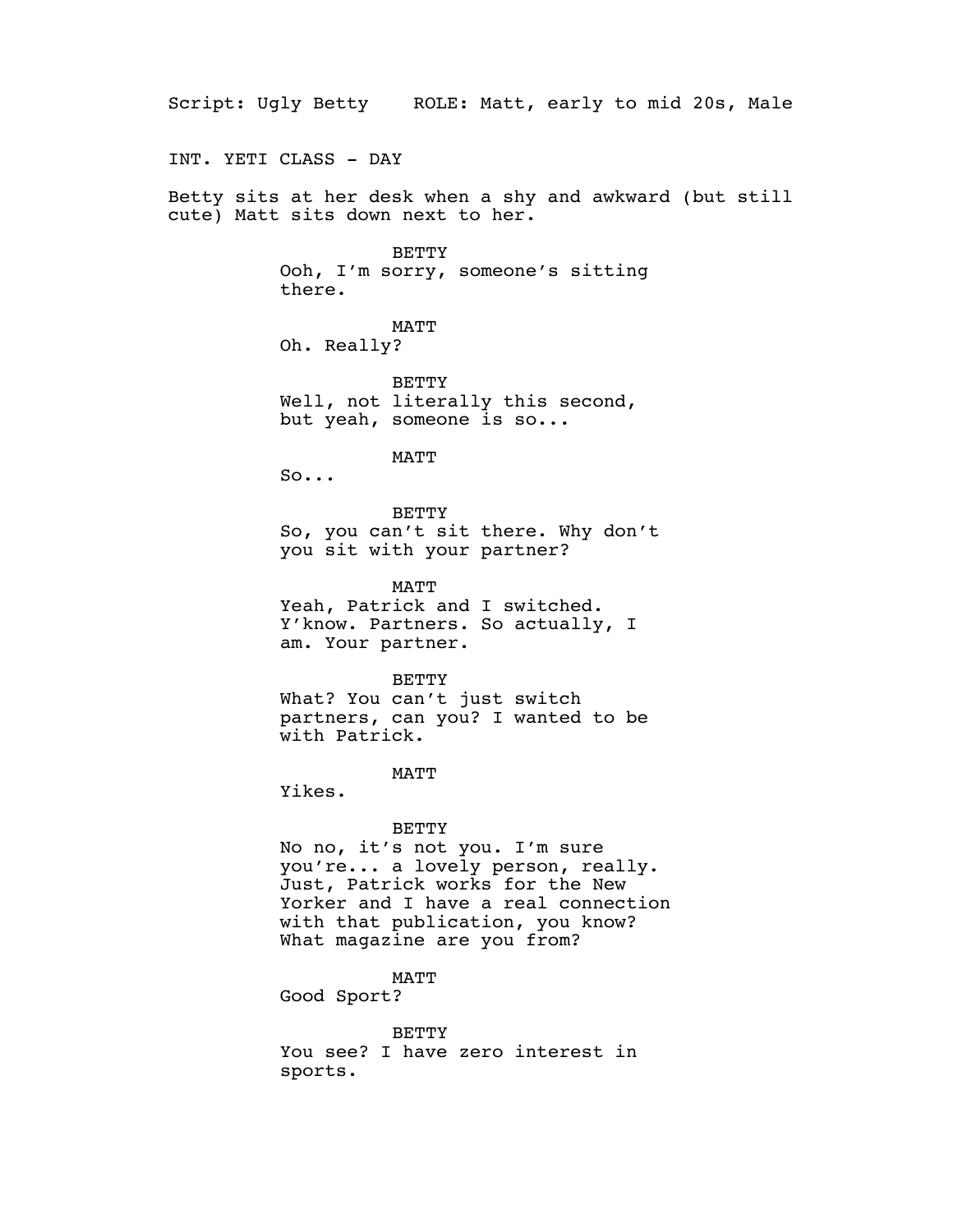Script: Ugly Betty ROLE: Matt, early to mid 20s, Male INT. YETI CLASS - DAY Betty sits at her desk when a shy and awkward (but still cute) Matt sits down next to her. **BETTY** Ooh, I'm sorry, someone's sitting there. MATT Oh. Really? BETTY Well, not literally this second, but yeah, someone is so... MATT  $So...$ BETTY So, you can't sit there. Why don't you sit with your partner? MATT Yeah, Patrick and I switched. Y'know. Partners. So actually, I am. Your partner. BETTY What? You can't just switch partners, can you? I wanted to be with Patrick. MATT Yikes. BETTY No no, it's not you. I'm sure you're... a lovely person, really. Just, Patrick works for the New Yorker and I have a real connection with that publication, you know? What magazine are you from? MATT Good Sport?

> BETTY You see? I have zero interest in sports.